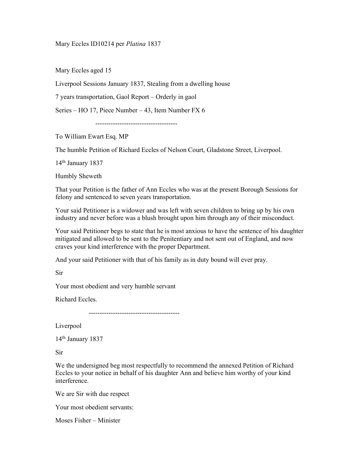Mary Eccles ID10214 per Platina 1837

Mary Eccles aged 15

Liverpool Sessions January 1837, Stealing from a dwelling house

7 years transportation, Gaol Report – Orderly in gaol

Series – HO 17, Piece Number – 43, Item Number FX 6

-------------------------------------

To William Ewart Esq. MP

The humble Petition of Richard Eccles of Nelson Court, Gladstone Street, Liverpool.

14th January 1837

Humbly Sheweth

That your Petition is the father of Ann Eccles who was at the present Borough Sessions for felony and sentenced to seven years transportation.

Your said Petitioner is a widower and was left with seven children to bring up by his own industry and never before was a blush brought upon him through any of their misconduct.

Your said Petitioner begs to state that he is most anxious to have the sentence of his daughter mitigated and allowed to be sent to the Penitentiary and not sent out of England, and now craves your kind interference with the proper Department.

And your said Petitioner with that of his family as in duty bound will ever pray.

Sir

Your most obedient and very humble servant

Richard Eccles.

-----------------------------------------

Liverpool

14th January 1837

Sir

We the undersigned beg most respectfully to recommend the annexed Petition of Richard Eccles to your notice in behalf of his daughter Ann and believe him worthy of your kind interference.

We are Sir with due respect

Your most obedient servants:

Moses Fisher – Minister